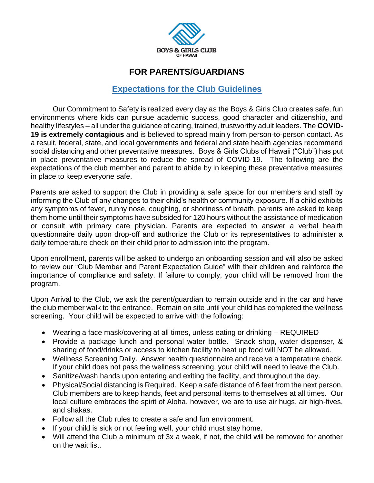

## **FOR PARENTS/GUARDIANS**

## **Expectations for the Club Guidelines**

Our Commitment to Safety is realized every day as the Boys & Girls Club creates safe, fun environments where kids can pursue academic success, good character and citizenship, and healthy lifestyles – all under the guidance of caring, trained, trustworthy adult leaders. The **COVID-19 is extremely contagious** and is believed to spread mainly from person-to-person contact. As a result, federal, state, and local governments and federal and state health agencies recommend social distancing and other preventative measures. Boys & Girls Clubs of Hawaii ("Club") has put in place preventative measures to reduce the spread of COVID-19. The following are the expectations of the club member and parent to abide by in keeping these preventative measures in place to keep everyone safe.

Parents are asked to support the Club in providing a safe space for our members and staff by informing the Club of any changes to their child's health or community exposure. If a child exhibits any symptoms of fever, runny nose, coughing, or shortness of breath, parents are asked to keep them home until their symptoms have subsided for 120 hours without the assistance of medication or consult with primary care physician. Parents are expected to answer a verbal health questionnaire daily upon drop-off and authorize the Club or its representatives to administer a daily temperature check on their child prior to admission into the program.

Upon enrollment, parents will be asked to undergo an onboarding session and will also be asked to review our "Club Member and Parent Expectation Guide" with their children and reinforce the importance of compliance and safety. If failure to comply, your child will be removed from the program.

Upon Arrival to the Club, we ask the parent/guardian to remain outside and in the car and have the club member walk to the entrance. Remain on site until your child has completed the wellness screening. Your child will be expected to arrive with the following:

- Wearing a face mask/covering at all times, unless eating or drinking REQUIRED
- Provide a package lunch and personal water bottle. Snack shop, water dispenser, & sharing of food/drinks or access to kitchen facility to heat up food will NOT be allowed.
- Wellness Screening Daily. Answer health questionnaire and receive a temperature check. If your child does not pass the wellness screening, your child will need to leave the Club.
- Sanitize/wash hands upon entering and exiting the facility, and throughout the day.
- Physical/Social distancing is Required. Keep a safe distance of 6 feet from the next person. Club members are to keep hands, feet and personal items to themselves at all times. Our local culture embraces the spirit of Aloha, however, we are to use air hugs, air high-fives, and shakas.
- Follow all the Club rules to create a safe and fun environment.
- If your child is sick or not feeling well, your child must stay home.
- Will attend the Club a minimum of 3x a week, if not, the child will be removed for another on the wait list.